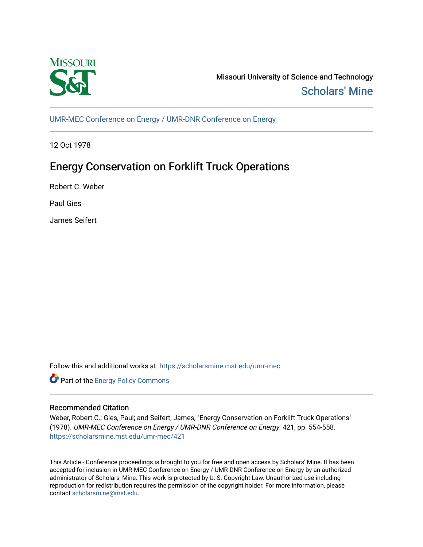

Missouri University of Science and Technology [Scholars' Mine](https://scholarsmine.mst.edu/) 

[UMR-MEC Conference on Energy / UMR-DNR Conference on Energy](https://scholarsmine.mst.edu/umr-mec)

12 Oct 1978

# Energy Conservation on Forklift Truck Operations

Robert C. Weber

Paul Gies

James Seifert

Follow this and additional works at: [https://scholarsmine.mst.edu/umr-mec](https://scholarsmine.mst.edu/umr-mec?utm_source=scholarsmine.mst.edu%2Fumr-mec%2F421&utm_medium=PDF&utm_campaign=PDFCoverPages) 



## Recommended Citation

Weber, Robert C.; Gies, Paul; and Seifert, James, "Energy Conservation on Forklift Truck Operations" (1978). UMR-MEC Conference on Energy / UMR-DNR Conference on Energy. 421, pp. 554-558. [https://scholarsmine.mst.edu/umr-mec/421](https://scholarsmine.mst.edu/umr-mec/421?utm_source=scholarsmine.mst.edu%2Fumr-mec%2F421&utm_medium=PDF&utm_campaign=PDFCoverPages) 

This Article - Conference proceedings is brought to you for free and open access by Scholars' Mine. It has been accepted for inclusion in UMR-MEC Conference on Energy / UMR-DNR Conference on Energy by an authorized administrator of Scholars' Mine. This work is protected by U. S. Copyright Law. Unauthorized use including reproduction for redistribution requires the permission of the copyright holder. For more information, please contact [scholarsmine@mst.edu](mailto:scholarsmine@mst.edu).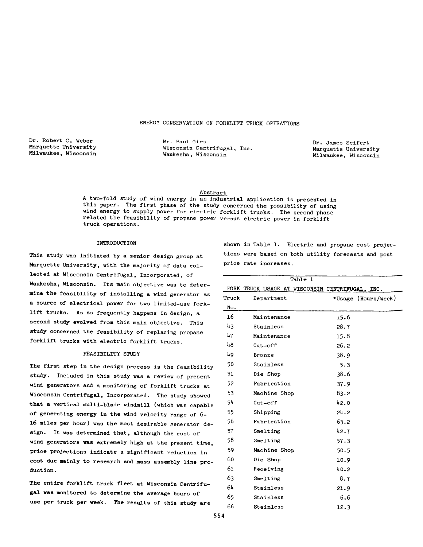### ENERGY CONSERVATION ON FORKLIFT TRUCK OPERATIONS

Dr. Robert C. Weber Marquette University Milwaukee, Wisconsin

Mr. Paul Gies Dr. James Seifert Wisconsin Centrifugal, Inc.<br>
Wax Marquette University<br>
Milwaukee, Wisconsin<br>
Milwaukee, Wisconsin

Milwaukee, Wisconsin

Abstract

A two-fold study of wind energy in an industrial application is presented in this paper. The first phase of the study concerned the possibility of using wind energy to supply power for electric forklift trucks. The second phase related the feasibility of propane power versus electric power in forklift truck operations.

#### INTRODUCTION

This study was initiated by a senior design group at Marquette University, with the majority of data collected at Wisconsin Centrifugal, Incorporated, of Waukesha, Wisconsin. Its main objective was to determine the feasibility of installing a wind generator as a source of electrical power for two limited-use forklift trucks. As so frequently happens in design, a second study evolved from this main objective. This study concerned the feasibility of replacing propane forklift trucks with electric forklift trucks.

#### FEASIBILITY STUDY

The first step in the design process is the feasibility study. Included in this study was a review of present wind generators and a monitoring of forklift trucks at Wisconsin Centrifugal, Incorporated. The study showed that a vertical multi-blade windmill (which was capable of generating energy in the wind velocity range of 6 l6 miles per hour) was the most desirable generator design. It was determined that, although the cost of wind generators was extremely high at the present time, price projections indicate a significant reduction in cost due mainly to research and mass assembly line product ion.

The entire forklift truck fleet at Wisconsin Centrifugal was monitored to determine the average hours of use per truck per week. The results of this study are

shown in Table 1. Electric and propane cost projections were based on both utility forecasts and post price rate increases.

|       | Table 1      |                                                 |
|-------|--------------|-------------------------------------------------|
|       |              | FORK TRUCK USAGE AT WISCONSIN CENTRIFUGAL, INC. |
| Truck | Department   | *Usage (Hours/Week)                             |
| No.   |              |                                                 |
| 16    | Maintenance  | 15.6                                            |
| 43    | Stainless    | 28.7                                            |
| 47    | Maintenance  | 15.8                                            |
| 48    | $Cut-off$    | 26.2                                            |
| 49    | Bronze       | 38.9                                            |
| 50    | Stainless    | 5.3                                             |
| 51    | Die Shop     | 38.6                                            |
| 52    | Fabrication  | 37.9                                            |
| 53    | Machine Shop | 83.2                                            |
| 54    | $Cut-off$    | 42.0                                            |
| 55    | Shipping     | 24.2                                            |
| 56    | Fabrication  | 63.2                                            |
| 57    | Smelting     | 42.7                                            |
| 58    | Smelting     | 57.3                                            |
| 59    | Machine Shop | 50.5                                            |
| 60    | Die Shop     | 10.9                                            |
| 61    | Receiving    | 40.2                                            |
| 63    | Smelting     | 8.7                                             |
| 64    | Stainless    | 21.9                                            |
| 65    | Stainless    | 6.6                                             |
| 66    | Stainless    | 12.3                                            |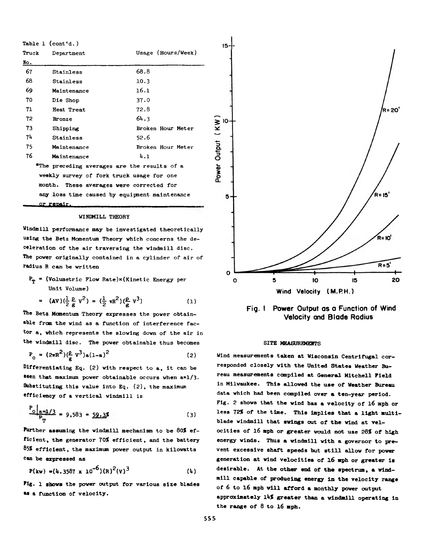| Table $1$ (cont'd.)                           |             |                    |  |  |  |
|-----------------------------------------------|-------------|--------------------|--|--|--|
| Truck                                         | Department  | Usage (Hours/Week) |  |  |  |
| No.                                           |             |                    |  |  |  |
| 67                                            | Stainless   | 68.8               |  |  |  |
| 68                                            | Stainless   | 10.3               |  |  |  |
| 69                                            | Maintenance | 16.1               |  |  |  |
| 70                                            | Die Shop    | 37.0               |  |  |  |
| 71                                            | Heat Treat  | 72.8               |  |  |  |
| 72                                            | Bronze      | 64.3               |  |  |  |
| 73                                            | Shipping    | Broken Hour Meter  |  |  |  |
| 74                                            | Stainless   | 52.6               |  |  |  |
| 75.                                           | Maintenance | Broken Hour Meter  |  |  |  |
| 76                                            | Maintenance | 4.1                |  |  |  |
| *The preceding averages are the results of a  |             |                    |  |  |  |
| weekly survey of fork truck usage for one     |             |                    |  |  |  |
| month. These averages were corrected for      |             |                    |  |  |  |
| any loss time caused by equipment maintenance |             |                    |  |  |  |
| <u>or repair.</u>                             |             |                    |  |  |  |

#### WINDMILL THEORY

Windmill performance may be investigated theoretically using the Betz Momentum Theory which concerns the deceleration of the air traversing the windmill disc. The power originally contained in a cylinder of air of radius R can be written

 $P_{\text{rp}}$  = (Volumetric Flow Rate) $\times$ (Kinetic Energy per Unit Volume)

$$
= (\text{AV})(\frac{1}{2}\frac{\rho}{g}v^2) = (\frac{1}{2}\pi R^2)(\frac{\rho}{g}v^3)
$$
 (1)

The Betz Momentum Theory expresses the power obtainable from the wind as a function of interference factor a, which represents the slowing down of the air in the windmill disc. The power obtainable thus becomes

$$
P_{0} = (2\pi R^{2})(\frac{\rho}{c} V^{3})a(1-a)^{2}
$$
 (2)

Differentiating Eq. (2) with respect to a, it can be seen that maximum power obtainable occurs when a=1/3. Substituting this value into Eq. (2), the maximum efficiency of a vertical windmill is

$$
\frac{P_{\text{o}}|_{\text{a}=1/3}}{P_{\text{T}}} = 9,583 = \frac{59.35}{}
$$
 (3)

Further assuming the windmill mechanism to be *80%* efficient, the generator *70%* efficient, and the battery *&5%* efficient, the maximum power output in kilowatts can be expressed as

$$
P(kw) = (4.3587 \times 10^{-6})(R)^{2}(V)^{3}
$$
 (4)

**F ig .** 1 **shows** the power output for various size blades as a function of velocity.



**Fig. I Power Output as a Function of Wind Velocity and Blade Radius**

## SITE MEASUREMENTS

**Wind measurements taken at Wisconsin Centrifugal corresponded closely with the United States Weather Bureau measurements compiled at General Mitchell Field in Milwaukee. This allowed the use of Weather Bureau data which had been compiled over a ten-year period. Fig. 2 shows that the wind has a velocity of l6 mph or less** *72%* **of the time. This implies that a light multiblade windmill that swings out of the wind at velocities of 16 mph or greater would not use** *28%* **of high energy winds. Thus a windmill with a governor to prevent excessive shaft speeds but still allow for power generation at wind velocities of l6 mph or greater is desirable. At the other end of the spectrum, a windmill capable of producing energy in the velocity range of 6 to 16 mph will afford a monthly power output approximately lUjf greater than a windmill operating in the range of 8 to 16 mph.**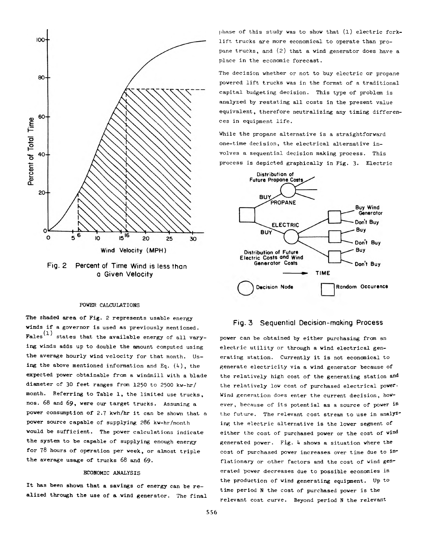



#### POWER CALCULATIONS

The shaded area of Fig. 2 represents usable energy winds if a governor is used as previously mentioned. Fales<sup>(1)</sup> states that the available energy of all varying winds adds up to double the amount computed using the average hourly wind velocity for that month. Using the above mentioned information and Eq.  $(4)$ , the expected power obtainable from a windmill with a blade diameter of 30 feet ranges from 1250 to 2500 kw-hr/ month. Referring to Table 1, the limited use trucks, nos. 68 and 69, were our target trucks. Assuming a power consumption of 2.7 kwh/hr it can be shown that a power source capable of supplying 286 kw-hr/month would be sufficient. The power calculations indicate the system to be capable of supplying enough energy for 78 hours of operation per week, or almost triple the average usage of trucks 68 and 69.

#### **ECONOMIC ANALYSIS**

It has been shown that a savings of energy can be realized through the use of a wind generator. The final phase of this study was to show that (1) electric forklift trucks are more economical to operate than propane trucks, and (2) that a wind generator does have a place in the economic forecast.

The decision whether or not to buy electric or propane powered lift trucks was in the format of a traditional capital budgeting decision. This type of problem is analyzed by restating all costs in the present value equivalent, therefore neutralizing any timing differences in equipment life.

While the propane alternative is a straightforward one-time decision, the electrical alternative involves a sequential decision making process. This process is depicted graphically in Fig. 3. Electric



## **Fig. 3 Sequential Decision-making Process**

power can be obtained by either purchasing from an electric utility or through a wind electrical generating station. Currently it is not economical to generate electricity via a wind generator because of the relatively high cost of the generating station and the relatively low cost of purchased electrical power. Wind generation does enter the current decision, however, because of its potential as a source of power in the future. The relevant cost stream to use in analyzing the electric alternative is the lower segment of either the cost of purchased power or the cost of wind generated power. Fig.  $4$  shows a situation where the cost of purchased power increases over time due to inflationary or other factors and the cost of wind generated power decreases due to possible economies in the production of wind generating equipment. Up to time period N the cost of purchased power is the relevant cost curve. Beyond period N the relevant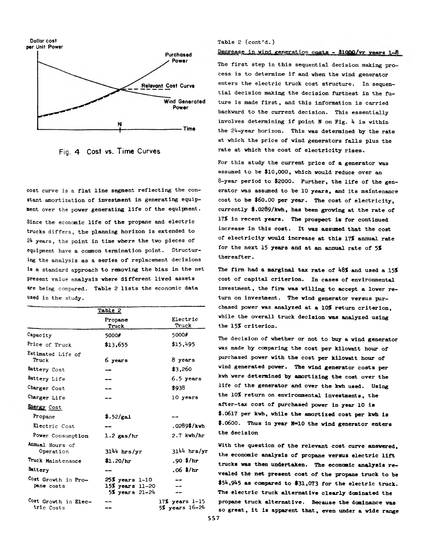

**Fig. 4 Cost vs. Time Curves**

cost curve is a flat line segment reflecting the constant amortization of investment in generating equipment over the power generating life of the equipment.

Since the economic life of the propane and electric trucks differs, the planning horizon is extended to 2h years, the point in time where the two pieces of equipment have a common termination point. Structuring the analysis as a series of replacement decisions is a standard approach to removing the bias in the net present value analysis where different lived assets are being compared. Table 2 lists the economic data used in the study.

| Table 2                            |                                                             |                                          |  |  |
|------------------------------------|-------------------------------------------------------------|------------------------------------------|--|--|
|                                    | Propane<br>Truck                                            | Electric<br>Truck                        |  |  |
| Capacity                           | 5000#                                                       | 5000#                                    |  |  |
| Price of Truck                     | \$13,655                                                    | \$15,495                                 |  |  |
| Estimated Life of<br>Truck         | 6 years                                                     | 8 years                                  |  |  |
| Battery Cost                       |                                                             | \$3,260                                  |  |  |
| Battery Life                       |                                                             | 6.5 years                                |  |  |
| Charger Cost                       |                                                             | \$938                                    |  |  |
| Charger Life                       |                                                             | 10 years                                 |  |  |
| Energy Cost                        |                                                             |                                          |  |  |
| Propane                            | \$.52/gal                                                   |                                          |  |  |
| Electric Cost                      |                                                             | .0289\$/k <del>v</del> h                 |  |  |
| Power Consumption                  | $1.2$ gas/hr                                                | $2.7$ kwh/hr                             |  |  |
| Annual Hours of<br>Operation       | $3144$ hrs/yr                                               | $3111$ hrs/yr                            |  |  |
| Truck Maintenance                  | \$1.20/hr                                                   | .90 $*/hr$                               |  |  |
| Battery                            |                                                             | $.06$ \$/hr                              |  |  |
| Cost Growth in Pro-<br>pane costs  | $25%$ years $1-10$<br>15% years 11-20<br>$5%$ years $21-24$ |                                          |  |  |
| Cost Growth in Elec-<br>tric Costs |                                                             | $17%$ years $1-15$<br>$5%$ years $16-2h$ |  |  |

#### Table 2 (cont'd.)

#### Decrease in wind generation costs - \$1000/vr years 1-8

The first step in this sequential decision making process is to determine if and when the wind generator enters the electric truck cost structure. In sequential decision making the decision furthest in the future is made first, and this information is carried backward to the current decision. This essentially involves determining if point N on Fig. 4 is within the 2h-year horizon. This was determined by the rate at which the price of wind generators falls plus the rate at which the cost of electricity rises.

**For this study the current price of a generator was assumed to be \$10,000, which would reduce over an 8-year period to \$2000. Further, the life of the generator was assumed to be 10 years, and its maintenance cost to be \$60.00 per year. The cost of electricity, currently \$.0289/kvh, has been growing at the rate of 17? in recent years. The prospect is for continued increase in this cost. It was assumed that the cost of electricity would increase at this 17? annual rate for the next 15 years and at an annual rate of 5? thereafter.**

The firm had a marginal tax rate of 48% and used a 15% **cost of capital criterion. In cases of environmental investment, the firm was willing to accept a lower return on investment. The wind generator versus purchased power was analyzed at a 10? return criterion, while the overall truck decision was analyzed using the 15? criterion.**

**The decision of whether or not to buy a wind generator was made by comparing the cost per kilowatt hour of** purchased power with the cost per kilowatt hour of wind generated power. The wind generator costs per **kwh were determined by amortizing the cost over the life of the generator and over the kwh used. Using the 10? return on environmental investments, the** after-tax cost of purchased power in year 10 is **\$.0617 per kwh, while the amortized cost per kwh is \$.0600. Thus in year N=10 the wind generator enters the decision**

**With the question of the relevant cost curve answered, the economic analysis of propane versus electric lift trucks was then undertaken. The economic analysis revealed the net present cost of the propane truck to be \$5j\*,9\*\*5 as compared to \$31,073 for the electric truck. The electric truck alternative clearly dominated the propane truck alternative. Because the dominance was so great, it is apparent that, even under a wide range**